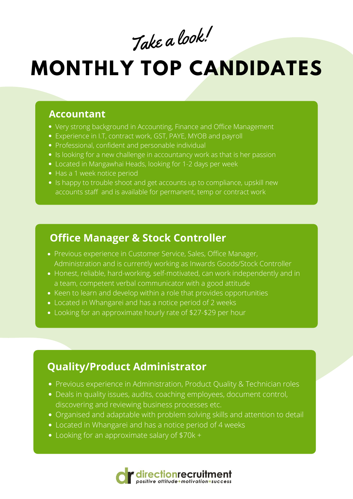#### **Accountant**

- Very strong background in Accounting, Finance and Office Management
- Experience in I.T, contract work, GST, PAYE, MYOB and payroll
- Professional, confident and personable individual
- Is looking for a new challenge in accountancy work as that is her passion
- Located in Mangawhai Heads, looking for 1-2 days per week
- Has a 1 week notice period
- Is happy to trouble shoot and get accounts up to compliance, upskill new accounts staff and is available for permanent, temp or contract work

# **MONTHLY TOP CANDIDATES**

- Previous experience in Customer Service, Sales, Office Manager, Administration and is currently working as Inwards Goods/Stock Controller
- Honest, reliable, hard-working, self-motivated, can work independently and in a team, competent verbal communicator with a good attitude
- Keen to learn and develop within a role that provides opportunities
- Located in Whangarei and has a notice period of 2 weeks
- Looking for an approximate hourly rate of \$27-\$29 per hour

Take <sup>a</sup> look!

### **Office Manager & Stock Controller**

## **Quality/Product Administrator**

- Previous experience in Administration, Product Quality & Technician roles
- Deals in quality issues, audits, coaching employees, document control, discovering and reviewing business processes etc.
- Organised and adaptable with problem solving skills and attention to detail
- Located in Whangarei and has a notice period of 4 weeks
- Looking for an approximate salary of \$70k +